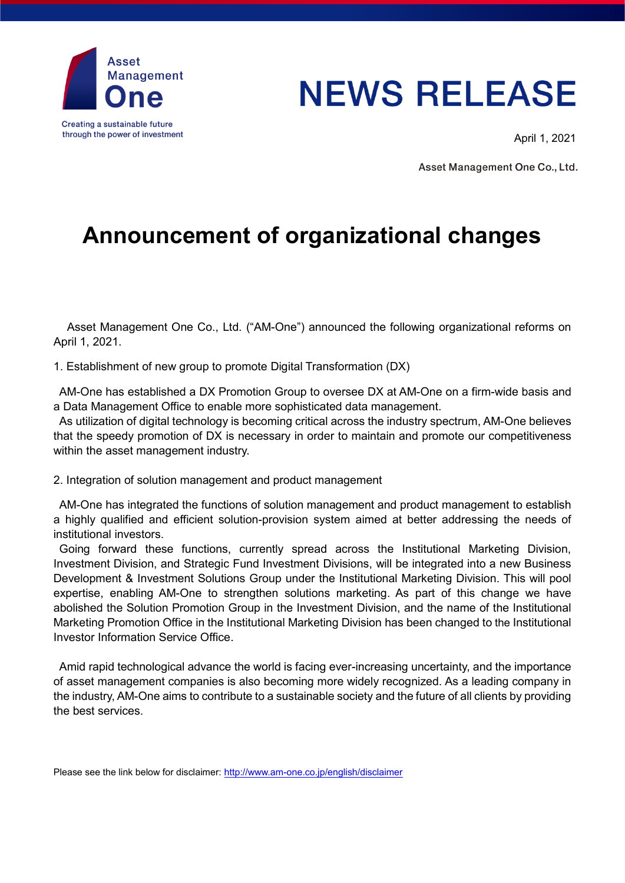

## **NEWS RELEASE**

April 1, 2021

Asset Management One Co., Ltd.

## **Announcement of organizational changes**

Asset Management One Co., Ltd. ("AM-One") announced the following organizational reforms on April 1, 2021.

1. Establishment of new group to promote Digital Transformation (DX)

AM-One has established a DX Promotion Group to oversee DX at AM-One on a firm-wide basis and a Data Management Office to enable more sophisticated data management.

As utilization of digital technology is becoming critical across the industry spectrum, AM-One believes that the speedy promotion of DX is necessary in order to maintain and promote our competitiveness within the asset management industry.

2. Integration of solution management and product management

AM-One has integrated the functions of solution management and product management to establish a highly qualified and efficient solution-provision system aimed at better addressing the needs of institutional investors.

Going forward these functions, currently spread across the Institutional Marketing Division, Investment Division, and Strategic Fund Investment Divisions, will be integrated into a new Business Development & Investment Solutions Group under the Institutional Marketing Division. This will pool expertise, enabling AM-One to strengthen solutions marketing. As part of this change we have abolished the Solution Promotion Group in the Investment Division, and the name of the Institutional Marketing Promotion Office in the Institutional Marketing Division has been changed to the Institutional Investor Information Service Office.

Amid rapid technological advance the world is facing ever-increasing uncertainty, and the importance of asset management companies is also becoming more widely recognized. As a leading company in the industry, AM-One aims to contribute to a sustainable society and the future of all clients by providing the best services.

Please see the link below for disclaimer:<http://www.am-one.co.jp/english/disclaimer>